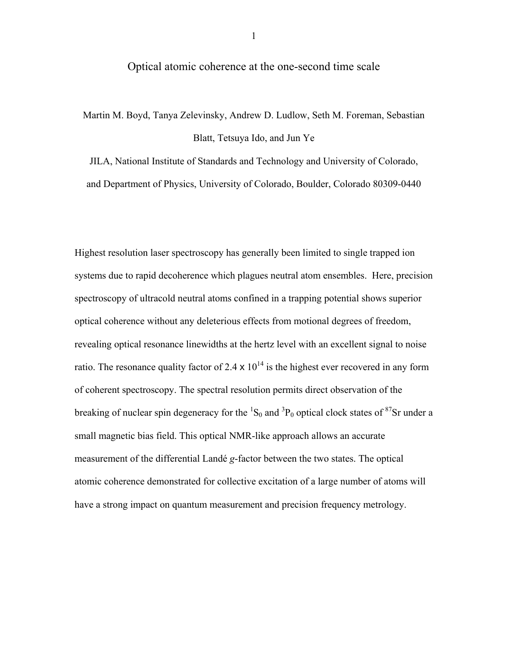## Optical atomic coherence at the one-second time scale

Martin M. Boyd, Tanya Zelevinsky, Andrew D. Ludlow, Seth M. Foreman, Sebastian Blatt, Tetsuya Ido, and Jun Ye

JILA, National Institute of Standards and Technology and University of Colorado, and Department of Physics, University of Colorado, Boulder, Colorado 80309-0440

Highest resolution laser spectroscopy has generally been limited to single trapped ion systems due to rapid decoherence which plagues neutral atom ensembles. Here, precision spectroscopy of ultracold neutral atoms confined in a trapping potential shows superior optical coherence without any deleterious effects from motional degrees of freedom, revealing optical resonance linewidths at the hertz level with an excellent signal to noise ratio. The resonance quality factor of 2.4  $\times$  10<sup>14</sup> is the highest ever recovered in any form of coherent spectroscopy. The spectral resolution permits direct observation of the breaking of nuclear spin degeneracy for the  ${}^{1}S_{0}$  and  ${}^{3}P_{0}$  optical clock states of  ${}^{87}Sr$  under a small magnetic bias field. This optical NMR-like approach allows an accurate measurement of the differential Landé *g*-factor between the two states. The optical atomic coherence demonstrated for collective excitation of a large number of atoms will have a strong impact on quantum measurement and precision frequency metrology.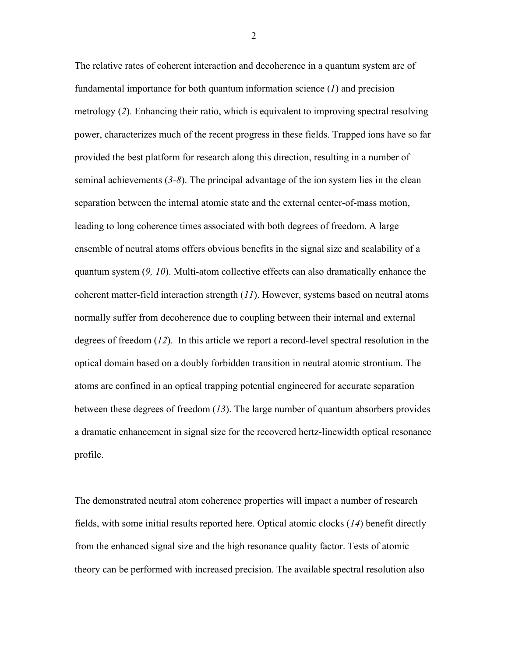The relative rates of coherent interaction and decoherence in a quantum system are of fundamental importance for both quantum information science (*1*) and precision metrology (*2*). Enhancing their ratio, which is equivalent to improving spectral resolving power, characterizes much of the recent progress in these fields. Trapped ions have so far provided the best platform for research along this direction, resulting in a number of seminal achievements (*3-8*). The principal advantage of the ion system lies in the clean separation between the internal atomic state and the external center-of-mass motion, leading to long coherence times associated with both degrees of freedom. A large ensemble of neutral atoms offers obvious benefits in the signal size and scalability of a quantum system (*9, 10*). Multi-atom collective effects can also dramatically enhance the coherent matter-field interaction strength (*11*). However, systems based on neutral atoms normally suffer from decoherence due to coupling between their internal and external degrees of freedom (*12*). In this article we report a record-level spectral resolution in the optical domain based on a doubly forbidden transition in neutral atomic strontium. The atoms are confined in an optical trapping potential engineered for accurate separation between these degrees of freedom (*13*). The large number of quantum absorbers provides a dramatic enhancement in signal size for the recovered hertz-linewidth optical resonance profile.

The demonstrated neutral atom coherence properties will impact a number of research fields, with some initial results reported here. Optical atomic clocks (*14*) benefit directly from the enhanced signal size and the high resonance quality factor. Tests of atomic theory can be performed with increased precision. The available spectral resolution also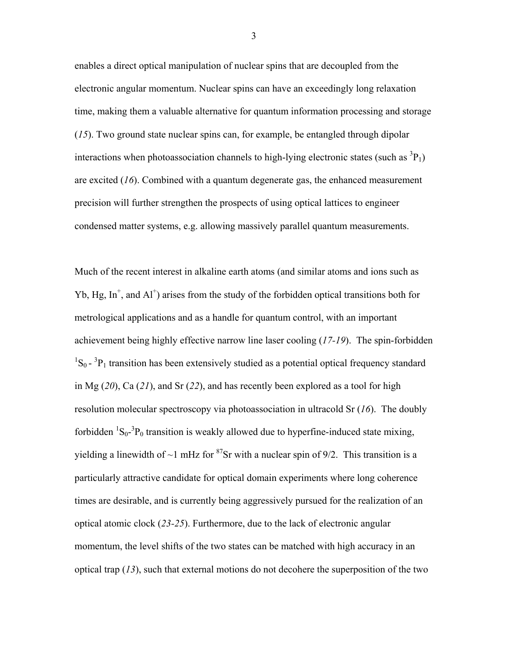enables a direct optical manipulation of nuclear spins that are decoupled from the electronic angular momentum. Nuclear spins can have an exceedingly long relaxation time, making them a valuable alternative for quantum information processing and storage (*15*). Two ground state nuclear spins can, for example, be entangled through dipolar interactions when photoassociation channels to high-lying electronic states (such as  ${}^{3}P_{1}$ ) are excited (*16*). Combined with a quantum degenerate gas, the enhanced measurement precision will further strengthen the prospects of using optical lattices to engineer condensed matter systems, e.g. allowing massively parallel quantum measurements.

Much of the recent interest in alkaline earth atoms (and similar atoms and ions such as Yb, Hg,  $In<sup>+</sup>$ , and  $Al<sup>+</sup>$ ) arises from the study of the forbidden optical transitions both for metrological applications and as a handle for quantum control, with an important achievement being highly effective narrow line laser cooling (*17-19*). The spin-forbidden  ${}^{1}S_{0}$  -  ${}^{3}P_{1}$  transition has been extensively studied as a potential optical frequency standard in Mg (*20*), Ca (*21*), and Sr (*22*), and has recently been explored as a tool for high resolution molecular spectroscopy via photoassociation in ultracold Sr (*16*). The doubly forbidden  ${}^{1}S_{0}$ - ${}^{3}P_{0}$  transition is weakly allowed due to hyperfine-induced state mixing, yielding a linewidth of  $\sim$ 1 mHz for <sup>87</sup>Sr with a nuclear spin of 9/2. This transition is a particularly attractive candidate for optical domain experiments where long coherence times are desirable, and is currently being aggressively pursued for the realization of an optical atomic clock (*23-25*). Furthermore, due to the lack of electronic angular momentum, the level shifts of the two states can be matched with high accuracy in an optical trap (*13*), such that external motions do not decohere the superposition of the two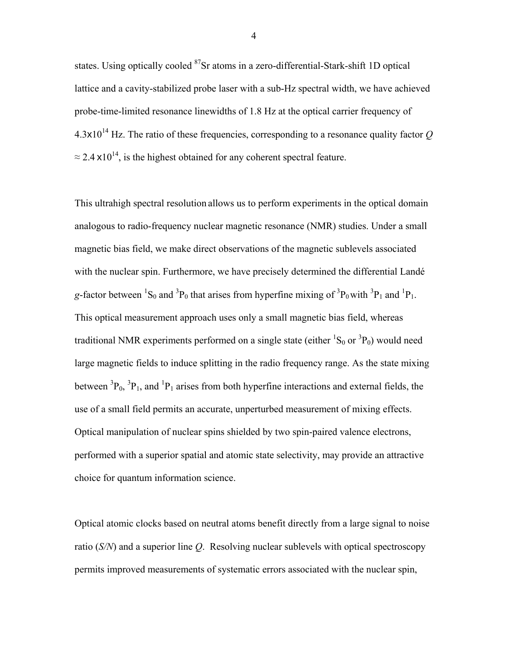states. Using optically cooled <sup>87</sup>Sr atoms in a zero-differential-Stark-shift 1D optical lattice and a cavity-stabilized probe laser with a sub-Hz spectral width, we have achieved probe-time-limited resonance linewidths of 1.8 Hz at the optical carrier frequency of  $4.3x10^{14}$  Hz. The ratio of these frequencies, corresponding to a resonance quality factor  $Q$  $\approx$  2.4 x10<sup>14</sup>, is the highest obtained for any coherent spectral feature.

This ultrahigh spectral resolution allows us to perform experiments in the optical domain analogous to radio-frequency nuclear magnetic resonance (NMR) studies. Under a small magnetic bias field, we make direct observations of the magnetic sublevels associated with the nuclear spin. Furthermore, we have precisely determined the differential Landé g-factor between <sup>1</sup>S<sub>0</sub> and <sup>3</sup>P<sub>0</sub> that arises from hyperfine mixing of <sup>3</sup>P<sub>0</sub> with <sup>3</sup>P<sub>1</sub> and <sup>1</sup>P<sub>1</sub>. This optical measurement approach uses only a small magnetic bias field, whereas traditional NMR experiments performed on a single state (either  ${}^{1}S_{0}$  or  ${}^{3}P_{0}$ ) would need large magnetic fields to induce splitting in the radio frequency range. As the state mixing between  ${}^{3}P_{0}$ ,  ${}^{3}P_{1}$ , and  ${}^{1}P_{1}$  arises from both hyperfine interactions and external fields, the use of a small field permits an accurate, unperturbed measurement of mixing effects. Optical manipulation of nuclear spins shielded by two spin-paired valence electrons, performed with a superior spatial and atomic state selectivity, may provide an attractive choice for quantum information science.

Optical atomic clocks based on neutral atoms benefit directly from a large signal to noise ratio (*S/N*) and a superior line *Q*. Resolving nuclear sublevels with optical spectroscopy permits improved measurements of systematic errors associated with the nuclear spin,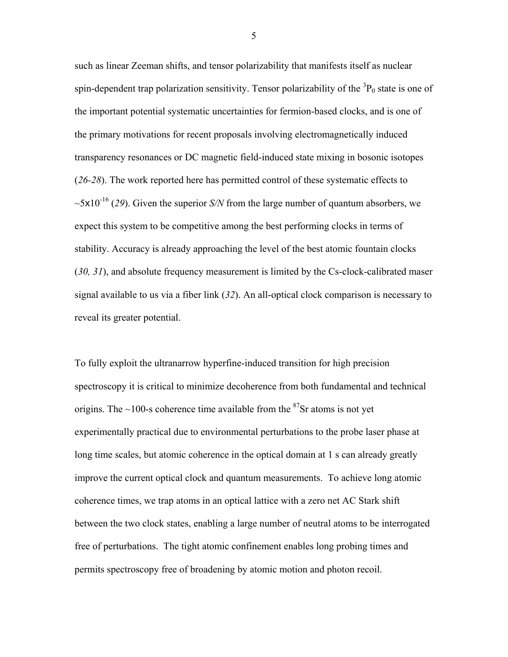such as linear Zeeman shifts, and tensor polarizability that manifests itself as nuclear spin-dependent trap polarization sensitivity. Tensor polarizability of the  ${}^{3}P_{0}$  state is one of the important potential systematic uncertainties for fermion-based clocks, and is one of the primary motivations for recent proposals involving electromagnetically induced transparency resonances or DC magnetic field-induced state mixing in bosonic isotopes (*26-28*). The work reported here has permitted control of these systematic effects to  $\sim$ 5x10<sup>-16</sup> (29). Given the superior *S/N* from the large number of quantum absorbers, we expect this system to be competitive among the best performing clocks in terms of stability. Accuracy is already approaching the level of the best atomic fountain clocks (*30, 31*), and absolute frequency measurement is limited by the Cs-clock-calibrated maser signal available to us via a fiber link (*32*). An all-optical clock comparison is necessary to reveal its greater potential.

To fully exploit the ultranarrow hyperfine-induced transition for high precision spectroscopy it is critical to minimize decoherence from both fundamental and technical origins. The  $\sim$ 100-s coherence time available from the <sup>87</sup>Sr atoms is not yet experimentally practical due to environmental perturbations to the probe laser phase at long time scales, but atomic coherence in the optical domain at 1 s can already greatly improve the current optical clock and quantum measurements. To achieve long atomic coherence times, we trap atoms in an optical lattice with a zero net AC Stark shift between the two clock states, enabling a large number of neutral atoms to be interrogated free of perturbations. The tight atomic confinement enables long probing times and permits spectroscopy free of broadening by atomic motion and photon recoil.

 $\overline{5}$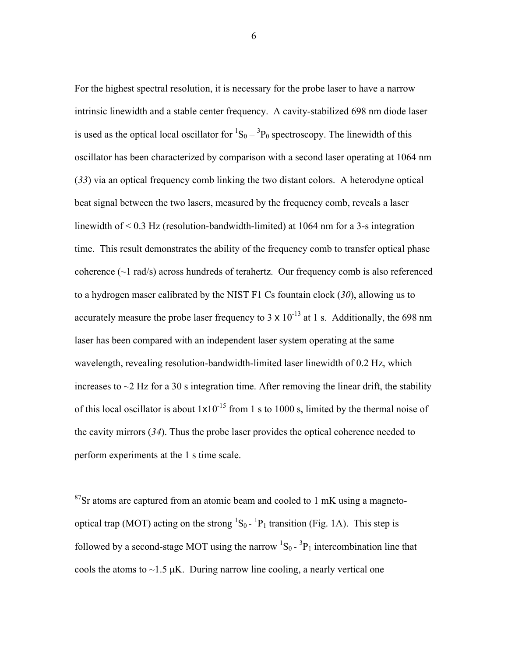For the highest spectral resolution, it is necessary for the probe laser to have a narrow intrinsic linewidth and a stable center frequency. A cavity-stabilized 698 nm diode laser is used as the optical local oscillator for  ${}^{1}S_{0} - {}^{3}P_{0}$  spectroscopy. The linewidth of this oscillator has been characterized by comparison with a second laser operating at 1064 nm (*33*) via an optical frequency comb linking the two distant colors. A heterodyne optical beat signal between the two lasers, measured by the frequency comb, reveals a laser linewidth of < 0.3 Hz (resolution-bandwidth-limited) at 1064 nm for a 3-s integration time. This result demonstrates the ability of the frequency comb to transfer optical phase coherence  $(\sim 1 \text{ rad/s})$  across hundreds of terahertz. Our frequency comb is also referenced to a hydrogen maser calibrated by the NIST F1 Cs fountain clock (*30*), allowing us to accurately measure the probe laser frequency to 3  $\times$  10<sup>-13</sup> at 1 s. Additionally, the 698 nm laser has been compared with an independent laser system operating at the same wavelength, revealing resolution-bandwidth-limited laser linewidth of 0.2 Hz, which increases to  $\sim$ 2 Hz for a 30 s integration time. After removing the linear drift, the stability of this local oscillator is about  $1 \times 10^{-15}$  from 1 s to 1000 s, limited by the thermal noise of the cavity mirrors (*34*). Thus the probe laser provides the optical coherence needed to perform experiments at the 1 s time scale.

 $87$ Sr atoms are captured from an atomic beam and cooled to 1 mK using a magnetooptical trap (MOT) acting on the strong  ${}^{1}S_{0}$  -  ${}^{1}P_{1}$  transition (Fig. 1A). This step is followed by a second-stage MOT using the narrow  ${}^{1}S_{0}$  -  ${}^{3}P_{1}$  intercombination line that cools the atoms to  $\sim$ 1.5  $\mu$ K. During narrow line cooling, a nearly vertical one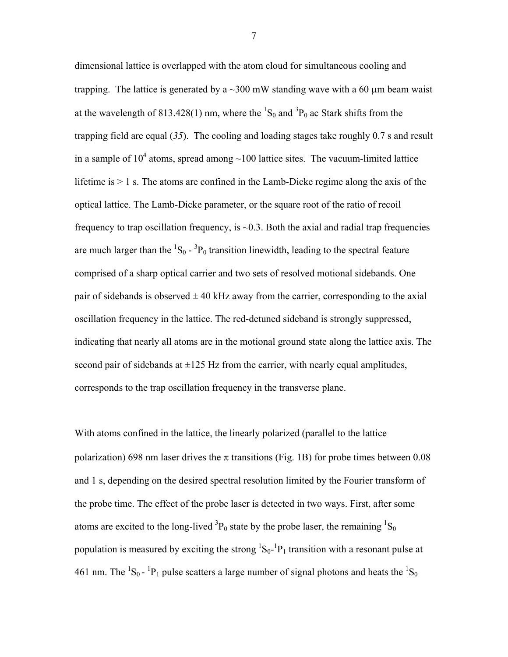dimensional lattice is overlapped with the atom cloud for simultaneous cooling and trapping. The lattice is generated by a  $\sim$ 300 mW standing wave with a 60  $\mu$ m beam waist at the wavelength of 813.428(1) nm, where the  ${}^{1}S_{0}$  and  ${}^{3}P_{0}$  ac Stark shifts from the trapping field are equal (*35*). The cooling and loading stages take roughly 0.7 s and result in a sample of  $10^4$  atoms, spread among  $\sim$ 100 lattice sites. The vacuum-limited lattice lifetime is > 1 s. The atoms are confined in the Lamb-Dicke regime along the axis of the optical lattice. The Lamb-Dicke parameter, or the square root of the ratio of recoil frequency to trap oscillation frequency, is  $\sim$ 0.3. Both the axial and radial trap frequencies are much larger than the  ${}^{1}S_{0}$  -  ${}^{3}P_{0}$  transition linewidth, leading to the spectral feature comprised of a sharp optical carrier and two sets of resolved motional sidebands. One pair of sidebands is observed  $\pm$  40 kHz away from the carrier, corresponding to the axial oscillation frequency in the lattice. The red-detuned sideband is strongly suppressed, indicating that nearly all atoms are in the motional ground state along the lattice axis. The second pair of sidebands at  $\pm 125$  Hz from the carrier, with nearly equal amplitudes, corresponds to the trap oscillation frequency in the transverse plane.

With atoms confined in the lattice, the linearly polarized (parallel to the lattice polarization) 698 nm laser drives the  $\pi$  transitions (Fig. 1B) for probe times between 0.08 and 1 s, depending on the desired spectral resolution limited by the Fourier transform of the probe time. The effect of the probe laser is detected in two ways. First, after some atoms are excited to the long-lived  ${}^{3}P_{0}$  state by the probe laser, the remaining  ${}^{1}S_{0}$ population is measured by exciting the strong  ${}^{1}S_{0}$ - ${}^{1}P_{1}$  transition with a resonant pulse at 461 nm. The  ${}^{1}S_{0}$  -  ${}^{1}P_{1}$  pulse scatters a large number of signal photons and heats the  ${}^{1}S_{0}$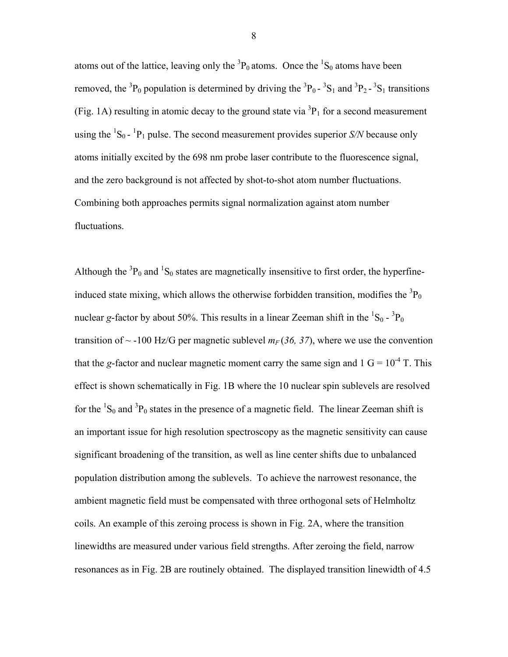atoms out of the lattice, leaving only the  ${}^{3}P_0$  atoms. Once the  ${}^{1}S_0$  atoms have been removed, the <sup>3</sup>P<sub>0</sub> population is determined by driving the <sup>3</sup>P<sub>0</sub>-<sup>3</sup>S<sub>1</sub> and <sup>3</sup>P<sub>2</sub>-<sup>3</sup>S<sub>1</sub> transitions (Fig. 1A) resulting in atomic decay to the ground state via  ${}^{3}P_{1}$  for a second measurement using the  ${}^{1}S_{0}$  -  ${}^{1}P_{1}$  pulse. The second measurement provides superior *S/N* because only atoms initially excited by the 698 nm probe laser contribute to the fluorescence signal, and the zero background is not affected by shot-to-shot atom number fluctuations. Combining both approaches permits signal normalization against atom number fluctuations.

Although the  ${}^{3}P_0$  and  ${}^{1}S_0$  states are magnetically insensitive to first order, the hyperfineinduced state mixing, which allows the otherwise forbidden transition, modifies the  ${}^{3}P_{0}$ nuclear *g*-factor by about 50%. This results in a linear Zeeman shift in the  ${}^{1}S_{0}$  -  ${}^{3}P_{0}$ transition of  $\sim$  -100 Hz/G per magnetic sublevel  $m_F$  (36, 37), where we use the convention that the *g*-factor and nuclear magnetic moment carry the same sign and  $1 \text{ G} = 10^{-4} \text{ T}$ . This effect is shown schematically in Fig. 1B where the 10 nuclear spin sublevels are resolved for the  ${}^{1}S_{0}$  and  ${}^{3}P_{0}$  states in the presence of a magnetic field. The linear Zeeman shift is an important issue for high resolution spectroscopy as the magnetic sensitivity can cause significant broadening of the transition, as well as line center shifts due to unbalanced population distribution among the sublevels. To achieve the narrowest resonance, the ambient magnetic field must be compensated with three orthogonal sets of Helmholtz coils. An example of this zeroing process is shown in Fig. 2A, where the transition linewidths are measured under various field strengths. After zeroing the field, narrow resonances as in Fig. 2B are routinely obtained. The displayed transition linewidth of 4.5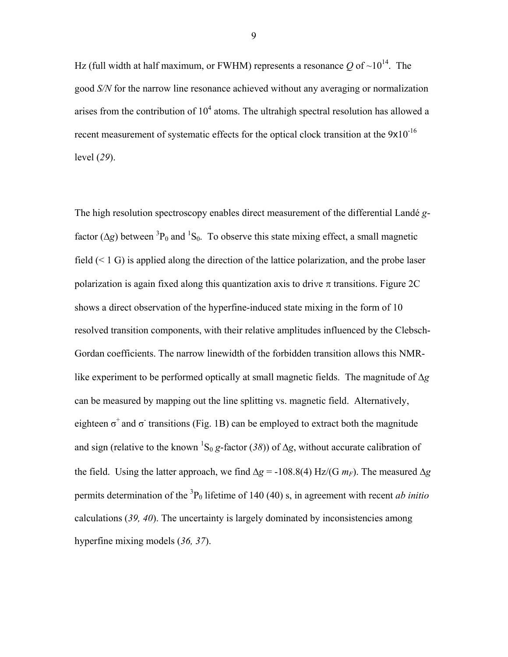Hz (full width at half maximum, or FWHM) represents a resonance O of  $\sim 10^{14}$ . The good *S/N* for the narrow line resonance achieved without any averaging or normalization arises from the contribution of  $10^4$  atoms. The ultrahigh spectral resolution has allowed a recent measurement of systematic effects for the optical clock transition at the  $9x10^{-16}$ level (*29*).

The high resolution spectroscopy enables direct measurement of the differential Landé *g*factor ( $\Delta g$ ) between <sup>3</sup>P<sub>0</sub> and <sup>1</sup>S<sub>0</sub>. To observe this state mixing effect, a small magnetic field  $(< 1 \text{ G})$  is applied along the direction of the lattice polarization, and the probe laser polarization is again fixed along this quantization axis to drive  $\pi$  transitions. Figure 2C shows a direct observation of the hyperfine-induced state mixing in the form of 10 resolved transition components, with their relative amplitudes influenced by the Clebsch-Gordan coefficients. The narrow linewidth of the forbidden transition allows this NMRlike experiment to be performed optically at small magnetic fields. The magnitude of ∆*g* can be measured by mapping out the line splitting vs. magnetic field. Alternatively, eighteen  $\sigma^+$  and  $\sigma^-$  transitions (Fig. 1B) can be employed to extract both the magnitude and sign (relative to the known <sup>1</sup>S<sub>0</sub> *g*-factor (38)) of  $\Delta g$ , without accurate calibration of the field. Using the latter approach, we find  $\Delta g = -108.8(4)$  Hz/(G  $m_F$ ). The measured  $\Delta g$ permits determination of the <sup>3</sup>P<sub>0</sub> lifetime of 140 (40) s, in agreement with recent *ab initio* calculations (*39, 40*). The uncertainty is largely dominated by inconsistencies among hyperfine mixing models (*36, 37*).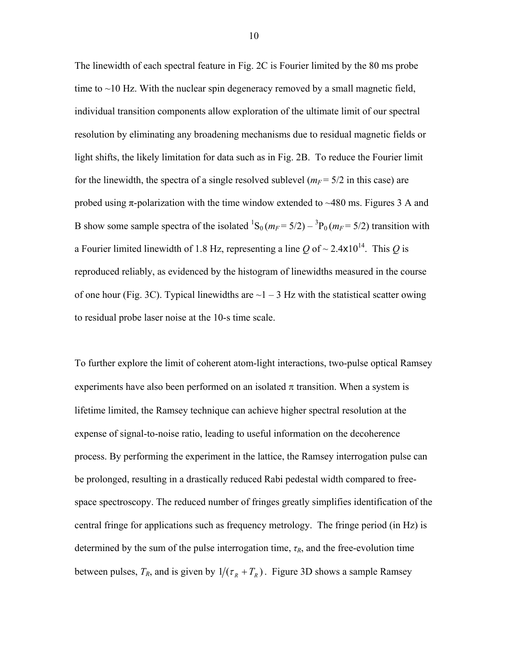The linewidth of each spectral feature in Fig. 2C is Fourier limited by the 80 ms probe time to  $\sim$ 10 Hz. With the nuclear spin degeneracy removed by a small magnetic field, individual transition components allow exploration of the ultimate limit of our spectral resolution by eliminating any broadening mechanisms due to residual magnetic fields or light shifts, the likely limitation for data such as in Fig. 2B. To reduce the Fourier limit for the linewidth, the spectra of a single resolved sublevel  $(m_F = 5/2$  in this case) are probed using  $\pi$ -polarization with the time window extended to  $\sim$ 480 ms. Figures 3 A and B show some sample spectra of the isolated  ${}^{1}S_0$  ( $m_F$  = 5/2) –  ${}^{3}P_0$  ( $m_F$  = 5/2) transition with a Fourier limited linewidth of 1.8 Hz, representing a line  $Q$  of  $\sim$  2.4x10<sup>14</sup>. This  $Q$  is reproduced reliably, as evidenced by the histogram of linewidths measured in the course of one hour (Fig. 3C). Typical linewidths are  $\sim$ 1 – 3 Hz with the statistical scatter owing to residual probe laser noise at the 10-s time scale.

To further explore the limit of coherent atom-light interactions, two-pulse optical Ramsey experiments have also been performed on an isolated  $\pi$  transition. When a system is lifetime limited, the Ramsey technique can achieve higher spectral resolution at the expense of signal-to-noise ratio, leading to useful information on the decoherence process. By performing the experiment in the lattice, the Ramsey interrogation pulse can be prolonged, resulting in a drastically reduced Rabi pedestal width compared to freespace spectroscopy. The reduced number of fringes greatly simplifies identification of the central fringe for applications such as frequency metrology. The fringe period (in Hz) is determined by the sum of the pulse interrogation time, *τR*, and the free-evolution time between pulses,  $T_R$ , and is given by  $1/(\tau_R + T_R)$ . Figure 3D shows a sample Ramsey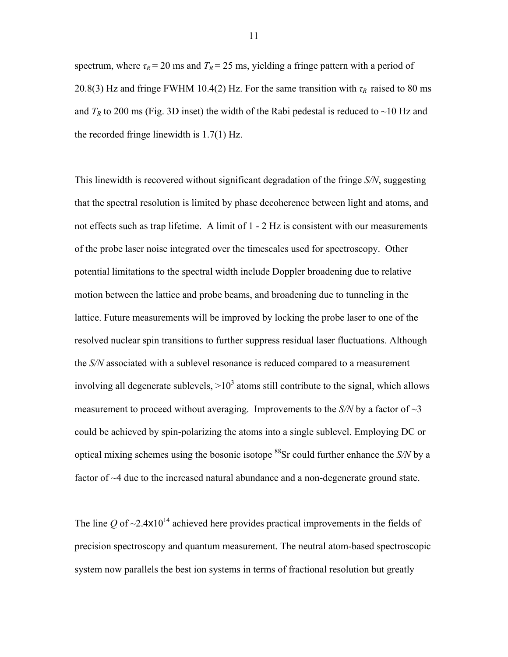spectrum, where  $\tau_R$  = 20 ms and  $T_R$  = 25 ms, yielding a fringe pattern with a period of 20.8(3) Hz and fringe FWHM 10.4(2) Hz. For the same transition with  $\tau_R$  raised to 80 ms and  $T_R$  to 200 ms (Fig. 3D inset) the width of the Rabi pedestal is reduced to  $\sim$ 10 Hz and the recorded fringe linewidth is 1.7(1) Hz.

This linewidth is recovered without significant degradation of the fringe *S/N*, suggesting that the spectral resolution is limited by phase decoherence between light and atoms, and not effects such as trap lifetime. A limit of 1 - 2 Hz is consistent with our measurements of the probe laser noise integrated over the timescales used for spectroscopy. Other potential limitations to the spectral width include Doppler broadening due to relative motion between the lattice and probe beams, and broadening due to tunneling in the lattice. Future measurements will be improved by locking the probe laser to one of the resolved nuclear spin transitions to further suppress residual laser fluctuations. Although the *S/N* associated with a sublevel resonance is reduced compared to a measurement involving all degenerate sublevels,  $>10^3$  atoms still contribute to the signal, which allows measurement to proceed without averaging. Improvements to the  $S/N$  by a factor of  $\sim$ 3 could be achieved by spin-polarizing the atoms into a single sublevel. Employing DC or optical mixing schemes using the bosonic isotope 88Sr could further enhance the *S/N* by a factor of ~4 due to the increased natural abundance and a non-degenerate ground state.

The line *Q* of  $\sim$ 2.4x10<sup>14</sup> achieved here provides practical improvements in the fields of precision spectroscopy and quantum measurement. The neutral atom-based spectroscopic system now parallels the best ion systems in terms of fractional resolution but greatly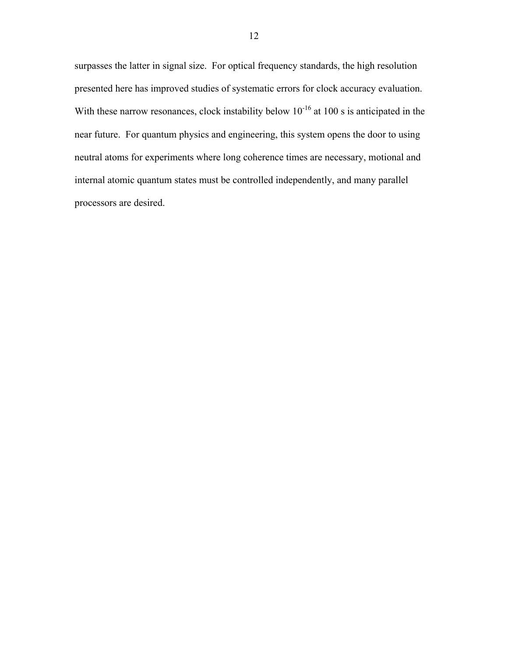surpasses the latter in signal size. For optical frequency standards, the high resolution presented here has improved studies of systematic errors for clock accuracy evaluation. With these narrow resonances, clock instability below  $10^{-16}$  at 100 s is anticipated in the near future. For quantum physics and engineering, this system opens the door to using neutral atoms for experiments where long coherence times are necessary, motional and internal atomic quantum states must be controlled independently, and many parallel processors are desired.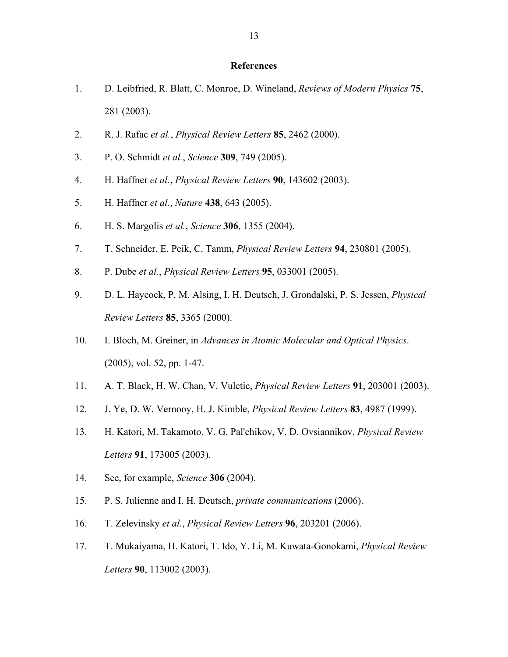## **References**

- 1. D. Leibfried, R. Blatt, C. Monroe, D. Wineland, *Reviews of Modern Physics* **75**, 281 (2003).
- 2. R. J. Rafac *et al.*, *Physical Review Letters* **85**, 2462 (2000).
- 3. P. O. Schmidt *et al.*, *Science* **309**, 749 (2005).
- 4. H. Haffner *et al.*, *Physical Review Letters* **90**, 143602 (2003).
- 5. H. Haffner *et al.*, *Nature* **438**, 643 (2005).
- 6. H. S. Margolis *et al.*, *Science* **306**, 1355 (2004).
- 7. T. Schneider, E. Peik, C. Tamm, *Physical Review Letters* **94**, 230801 (2005).
- 8. P. Dube *et al.*, *Physical Review Letters* **95**, 033001 (2005).
- 9. D. L. Haycock, P. M. Alsing, I. H. Deutsch, J. Grondalski, P. S. Jessen, *Physical Review Letters* **85**, 3365 (2000).
- 10. I. Bloch, M. Greiner, in *Advances in Atomic Molecular and Optical Physics*. (2005), vol. 52, pp. 1-47.
- 11. A. T. Black, H. W. Chan, V. Vuletic, *Physical Review Letters* **91**, 203001 (2003).
- 12. J. Ye, D. W. Vernooy, H. J. Kimble, *Physical Review Letters* **83**, 4987 (1999).
- 13. H. Katori, M. Takamoto, V. G. Pal'chikov, V. D. Ovsiannikov, *Physical Review Letters* **91**, 173005 (2003).
- 14. See, for example, *Science* **306** (2004).
- 15. P. S. Julienne and I. H. Deutsch, *private communications* (2006).
- 16. T. Zelevinsky *et al.*, *Physical Review Letters* **96**, 203201 (2006).
- 17. T. Mukaiyama, H. Katori, T. Ido, Y. Li, M. Kuwata-Gonokami, *Physical Review Letters* **90**, 113002 (2003).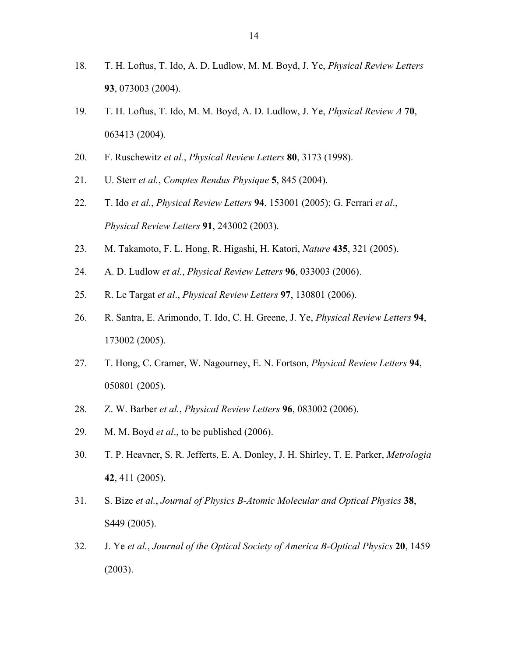- 18. T. H. Loftus, T. Ido, A. D. Ludlow, M. M. Boyd, J. Ye, *Physical Review Letters* **93**, 073003 (2004).
- 19. T. H. Loftus, T. Ido, M. M. Boyd, A. D. Ludlow, J. Ye, *Physical Review A* **70**, 063413 (2004).
- 20. F. Ruschewitz *et al.*, *Physical Review Letters* **80**, 3173 (1998).
- 21. U. Sterr *et al.*, *Comptes Rendus Physique* **5**, 845 (2004).
- 22. T. Ido *et al.*, *Physical Review Letters* **94**, 153001 (2005); G. Ferrari *et al*., *Physical Review Letters* **91**, 243002 (2003).
- 23. M. Takamoto, F. L. Hong, R. Higashi, H. Katori, *Nature* **435**, 321 (2005).
- 24. A. D. Ludlow *et al.*, *Physical Review Letters* **96**, 033003 (2006).
- 25. R. Le Targat *et al*., *Physical Review Letters* **97**, 130801 (2006).
- 26. R. Santra, E. Arimondo, T. Ido, C. H. Greene, J. Ye, *Physical Review Letters* **94**, 173002 (2005).
- 27. T. Hong, C. Cramer, W. Nagourney, E. N. Fortson, *Physical Review Letters* **94**, 050801 (2005).
- 28. Z. W. Barber *et al.*, *Physical Review Letters* **96**, 083002 (2006).
- 29. M. M. Boyd *et al*., to be published (2006).
- 30. T. P. Heavner, S. R. Jefferts, E. A. Donley, J. H. Shirley, T. E. Parker, *Metrologia* **42**, 411 (2005).
- 31. S. Bize *et al.*, *Journal of Physics B-Atomic Molecular and Optical Physics* **38**, S449 (2005).
- 32. J. Ye *et al.*, *Journal of the Optical Society of America B-Optical Physics* **20**, 1459 (2003).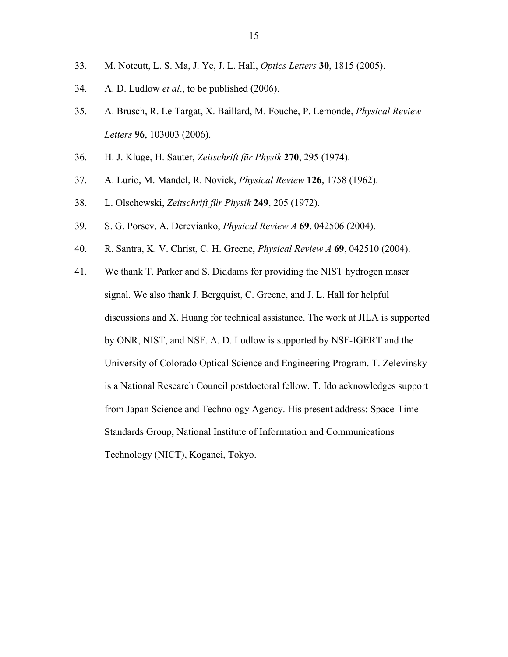- 33. M. Notcutt, L. S. Ma, J. Ye, J. L. Hall, *Optics Letters* **30**, 1815 (2005).
- 34. A. D. Ludlow *et al*., to be published (2006).
- 35. A. Brusch, R. Le Targat, X. Baillard, M. Fouche, P. Lemonde, *Physical Review Letters* **96**, 103003 (2006).
- 36. H. J. Kluge, H. Sauter, *Zeitschrift für Physik* **270**, 295 (1974).
- 37. A. Lurio, M. Mandel, R. Novick, *Physical Review* **126**, 1758 (1962).
- 38. L. Olschewski, *Zeitschrift für Physik* **249**, 205 (1972).
- 39. S. G. Porsev, A. Derevianko, *Physical Review A* **69**, 042506 (2004).
- 40. R. Santra, K. V. Christ, C. H. Greene, *Physical Review A* **69**, 042510 (2004).
- 41. We thank T. Parker and S. Diddams for providing the NIST hydrogen maser signal. We also thank J. Bergquist, C. Greene, and J. L. Hall for helpful discussions and X. Huang for technical assistance. The work at JILA is supported by ONR, NIST, and NSF. A. D. Ludlow is supported by NSF-IGERT and the University of Colorado Optical Science and Engineering Program. T. Zelevinsky is a National Research Council postdoctoral fellow. T. Ido acknowledges support from Japan Science and Technology Agency. His present address: Space-Time Standards Group, National Institute of Information and Communications Technology (NICT), Koganei, Tokyo.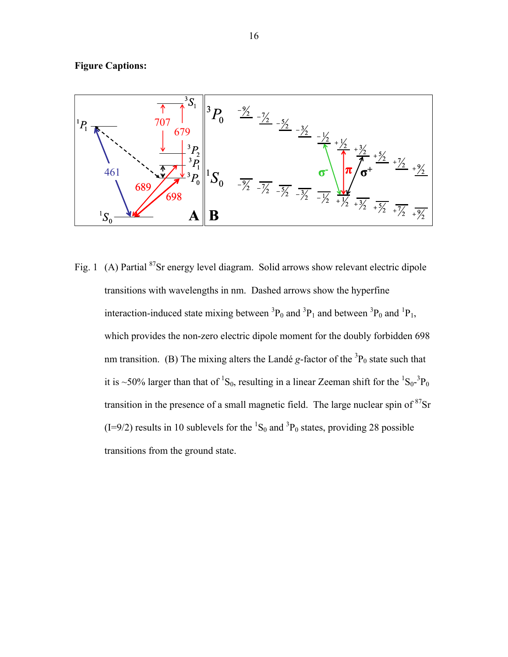



Fig. 1 (A) Partial <sup>87</sup>Sr energy level diagram. Solid arrows show relevant electric dipole transitions with wavelengths in nm. Dashed arrows show the hyperfine interaction-induced state mixing between  ${}^{3}P_{0}$  and  ${}^{3}P_{1}$  and between  ${}^{3}P_{0}$  and  ${}^{1}P_{1}$ , which provides the non-zero electric dipole moment for the doubly forbidden 698 nm transition. (B) The mixing alters the Landé  $g$ -factor of the  ${}^{3}P_{0}$  state such that it is ~50% larger than that of <sup>1</sup>S<sub>0</sub>, resulting in a linear Zeeman shift for the <sup>1</sup>S<sub>0</sub>-<sup>3</sup>P<sub>0</sub> transition in the presence of a small magnetic field. The large nuclear spin of <sup>87</sup>Sr  $(I=9/2)$  results in 10 sublevels for the <sup>1</sup>S<sub>0</sub> and <sup>3</sup>P<sub>0</sub> states, providing 28 possible transitions from the ground state.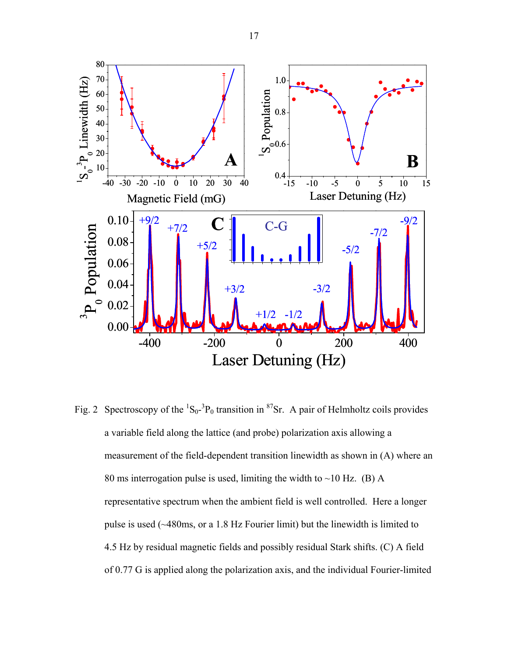

Fig. 2 Spectroscopy of the  ${}^{1}S_{0}$ - ${}^{3}P_{0}$  transition in  ${}^{87}Sr$ . A pair of Helmholtz coils provides a variable field along the lattice (and probe) polarization axis allowing a measurement of the field-dependent transition linewidth as shown in (A) where an 80 ms interrogation pulse is used, limiting the width to  $\sim$ 10 Hz. (B) A representative spectrum when the ambient field is well controlled. Here a longer pulse is used (~480ms, or a 1.8 Hz Fourier limit) but the linewidth is limited to 4.5 Hz by residual magnetic fields and possibly residual Stark shifts. (C) A field of 0.77 G is applied along the polarization axis, and the individual Fourier-limited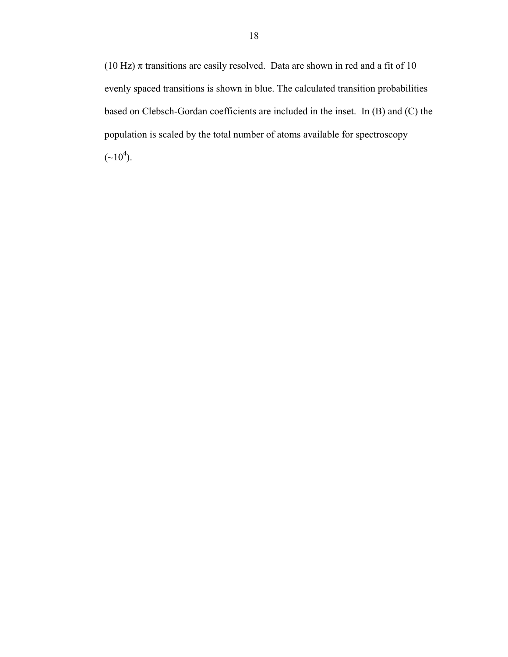(10 Hz)  $\pi$  transitions are easily resolved. Data are shown in red and a fit of 10 evenly spaced transitions is shown in blue. The calculated transition probabilities based on Clebsch-Gordan coefficients are included in the inset. In (B) and (C) the population is scaled by the total number of atoms available for spectroscopy  $({\sim}10^4)$ .